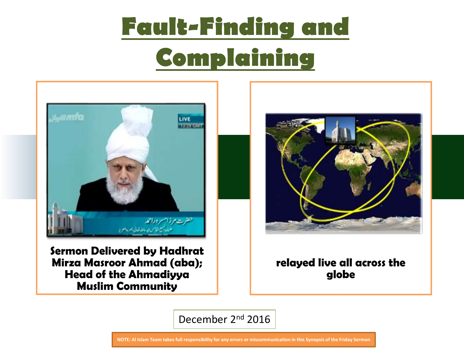

**Sermon Delivered by Hadhrat Mirza Masroor Ahmad (aba); Head of the Ahmadiyya Muslim Community** 



#### **relayed live all across the globe**

December 2nd 2016

**NOTE: Al Islam Team takes full responsibility for any errors or miscommunication in this Synopsis of the Friday Sermon**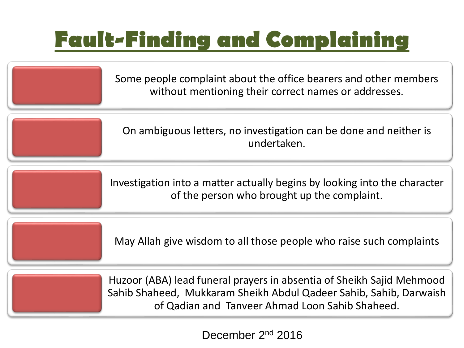Some people complaint about the office bearers and other members without mentioning their correct names or addresses. On ambiguous letters, no investigation can be done and neither is undertaken. Investigation into a matter actually begins by looking into the character of the person who brought up the complaint. May Allah give wisdom to all those people who raise such complaints Huzoor (ABA) lead funeral prayers in absentia of Sheikh Sajid Mehmood

Sahib Shaheed, Mukkaram Sheikh Abdul Qadeer Sahib, Sahib, Darwaish of Qadian and Tanveer Ahmad Loon Sahib Shaheed.

December 2nd 2016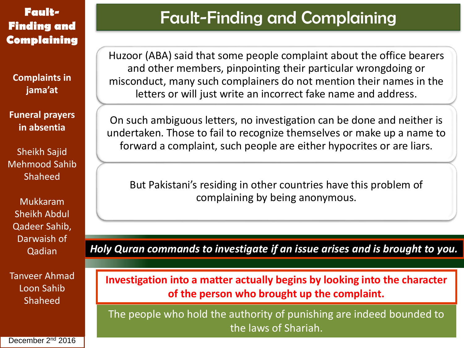**Complaints in jama'at**

**Funeral prayers in absentia**

Sheikh Sajid Mehmood Sahib Shaheed

Mukkaram Sheikh Abdul Qadeer Sahib, Darwaish of Qadian

Tanveer Ahmad Loon Sahib Shaheed

### Fault-Finding and Complaining

Huzoor (ABA) said that some people complaint about the office bearers and other members, pinpointing their particular wrongdoing or misconduct, many such complainers do not mention their names in the letters or will just write an incorrect fake name and address.

On such ambiguous letters, no investigation can be done and neither is undertaken. Those to fail to recognize themselves or make up a name to forward a complaint, such people are either hypocrites or are liars.

But Pakistani's residing in other countries have this problem of complaining by being anonymous.

*Holy Quran commands to investigate if an issue arises and is brought to you.* 

**Investigation into a matter actually begins by looking into the character of the person who brought up the complaint.**

The people who hold the authority of punishing are indeed bounded to the laws of Shariah.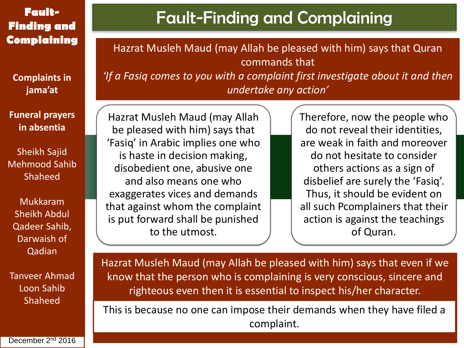### **Finding and Complaining**

**Complaints in jama'at**

**Funeral prayers in absentia**

Sheikh Sajid Mehmood Sahib Shaheed

Mukkaram Sheikh Abdul Qadeer Sahib, Darwaish of Qadian

Tanveer Ahmad Loon Sahib Shaheed

## Fault-Finding and Complaining **Fault-**

Hazrat Musleh Maud (may Allah be pleased with him) says that Quran commands that *'If a Fasiq comes to you with a complaint first investigate about it and then undertake any action'*

Hazrat Musleh Maud (may Allah be pleased with him) says that 'Fasiq' in Arabic implies one who is haste in decision making, disobedient one, abusive one and also means one who exaggerates vices and demands that against whom the complaint is put forward shall be punished to the utmost.

Therefore, now the people who do not reveal their identities, are weak in faith and moreover do not hesitate to consider others actions as a sign of disbelief are surely the 'Fasiq'. Thus, it should be evident on all such Pcomplainers that their action is against the teachings of Quran.

Hazrat Musleh Maud (may Allah be pleased with him) says that even if we know that the person who is complaining is very conscious, sincere and righteous even then it is essential to inspect his/her character.

This is because no one can impose their demands when they have filed a complaint.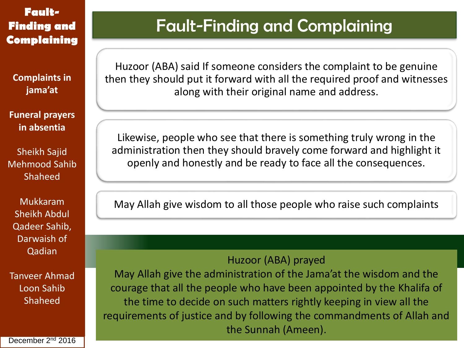**Complaints in jama'at**

**Funeral prayers in absentia**

Sheikh Sajid Mehmood Sahib Shaheed

Mukkaram Sheikh Abdul Qadeer Sahib, Darwaish of Qadian

Tanveer Ahmad Loon Sahib Shaheed

#### December 2<sup>nd</sup> 2016

### Fault-Finding and Complaining

Huzoor (ABA) said If someone considers the complaint to be genuine then they should put it forward with all the required proof and witnesses along with their original name and address.

Likewise, people who see that there is something truly wrong in the administration then they should bravely come forward and highlight it openly and honestly and be ready to face all the consequences.

May Allah give wisdom to all those people who raise such complaints

#### Huzoor (ABA) prayed

May Allah give the administration of the Jama'at the wisdom and the courage that all the people who have been appointed by the Khalifa of the time to decide on such matters rightly keeping in view all the requirements of justice and by following the commandments of Allah and the Sunnah (Ameen).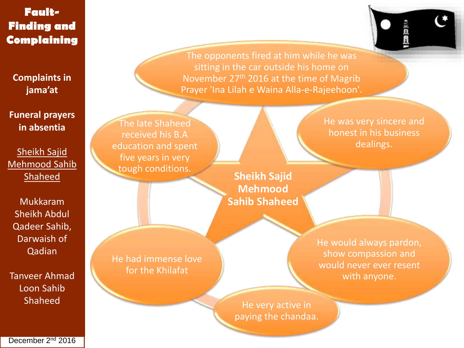**Complaints in jama'at**

**Funeral prayers in absentia**

Sheikh Sajid Mehmood Sahib Shaheed

Mukkaram Sheikh Abdul Qadeer Sahib, Darwaish of Qadian

Tanveer Ahmad Loon Sahib Shaheed

The opponents fired at him while he was sitting in the car outside his home on November 27<sup>th</sup> 2016 at the time of Magrib Prayer 'Ina Lilah e Waina Alla-e-Rajeehoon'.

The late Shaheed received his B.A education and spent five years in very tough conditions.

**Sheikh Sajid Mehmood Sahib Shaheed**

He had immense love for the Khilafat

He would always pardon, show compassion and would never ever resent with anyone.

He very active in paying the chandaa.

December 2<sup>nd</sup> 2016

He was very sincere and honest in his business dealings.

线盘包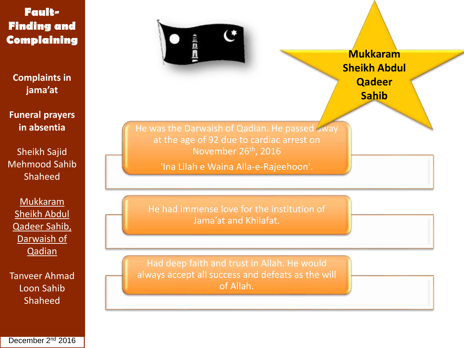**Complaints in jama'at**

**Funeral prayers in absentia**

Sheikh Sajid Mehmood Sahib Shaheed

Mukkaram Sheikh Abdul Qadeer Sahib, Darwaish of **Qadian** 

Tanveer Ahmad Loon Sahib Shaheed



**Mukkaram Sheikh Abdul Qadeer Sahib**

He was the Darwaish of Qadian. He passed away at the age of 92 due to cardiac arrest on November 26th, 2016

'Ina Lilah e Waina Alla-e-Rajeehoon'.

He had immense love for the institution of Jama'at and Khilafat.

Had deep faith and trust in Allah. He would always accept all success and defeats as the will of Allah.